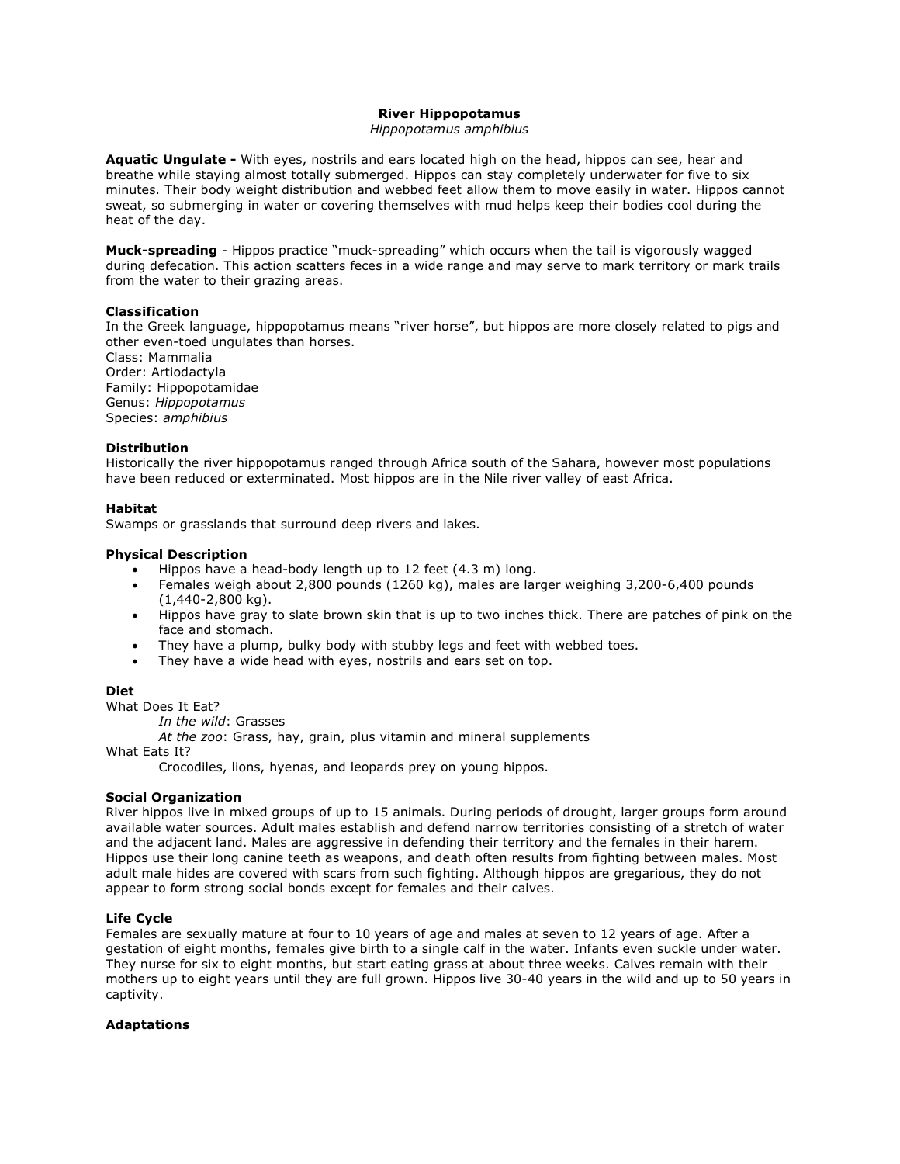## **River Hippopotamus**

#### *Hippopotamus amphibius*

**Aquatic Ungulate -** With eyes, nostrils and ears located high on the head, hippos can see, hear and breathe while staying almost totally submerged. Hippos can stay completely underwater for five to six minutes. Their body weight distribution and webbed feet allow them to move easily in water. Hippos cannot sweat, so submerging in water or covering themselves with mud helps keep their bodies cool during the heat of the day.

**Muck-spreading** - Hippos practice "muck-spreading" which occurs when the tail is vigorously wagged during defecation. This action scatters feces in a wide range and may serve to mark territory or mark trails from the water to their grazing areas.

## **Classification**

In the Greek language, hippopotamus means "river horse", but hippos are more closely related to pigs and other even-toed ungulates than horses.

Class: Mammalia Order: Artiodactyla Family: Hippopotamidae Genus: *Hippopotamus* Species: *amphibius*

### **Distribution**

Historically the river hippopotamus ranged through Africa south of the Sahara, however most populations have been reduced or exterminated. Most hippos are in the Nile river valley of east Africa.

### **Habitat**

Swamps or grasslands that surround deep rivers and lakes.

### **Physical Description**

- Hippos have a head-body length up to 12 feet (4.3 m) long.
- Females weigh about 2,800 pounds (1260 kg), males are larger weighing 3,200-6,400 pounds (1,440-2,800 kg).
- Hippos have gray to slate brown skin that is up to two inches thick. There are patches of pink on the face and stomach.
- They have a plump, bulky body with stubby legs and feet with webbed toes.
- They have a wide head with eyes, nostrils and ears set on top.

## **Diet**

What Does It Eat?

*In the wild*: Grasses

*At the zoo*: Grass, hay, grain, plus vitamin and mineral supplements

What Eats It?

Crocodiles, lions, hyenas, and leopards prey on young hippos.

## **Social Organization**

River hippos live in mixed groups of up to 15 animals. During periods of drought, larger groups form around available water sources. Adult males establish and defend narrow territories consisting of a stretch of water and the adjacent land. Males are aggressive in defending their territory and the females in their harem. Hippos use their long canine teeth as weapons, and death often results from fighting between males. Most adult male hides are covered with scars from such fighting. Although hippos are gregarious, they do not appear to form strong social bonds except for females and their calves.

## **Life Cycle**

Females are sexually mature at four to 10 years of age and males at seven to 12 years of age. After a gestation of eight months, females give birth to a single calf in the water. Infants even suckle under water. They nurse for six to eight months, but start eating grass at about three weeks. Calves remain with their mothers up to eight years until they are full grown. Hippos live 30-40 years in the wild and up to 50 years in captivity.

#### **Adaptations**